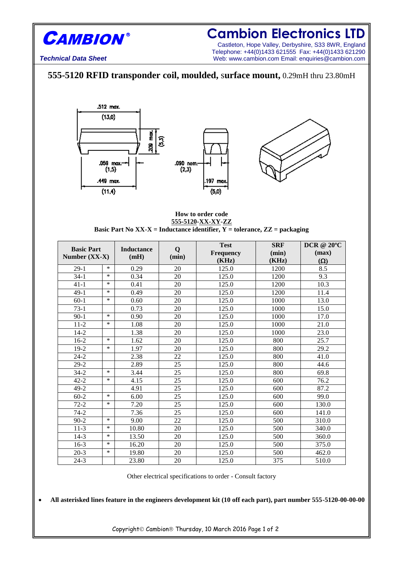

## **Cambion Electronics LTD**

Castleton, Hope Valley, Derbyshire, S33 8WR, England Telephone: +44(0)1433 621555 Fax: +44(0)1433 621290 **Technical Data Sheet** Web: www.cambion.com Email: enquiries@cambion.com

## **555-5120 RFID transponder coil, moulded,** s**urface mount,** 0.29mH thru 23.80mH





## **How to order code 555-5120-XX-XY-ZZ Basic Part No XX-X = Inductance identifier,**  $\overline{Y}$  **= tolerance,**  $ZZ$  **= packaging**

| <b>Basic Part</b><br>Number $(XX-X)$ |        | <b>Inductance</b><br>(mH) | Q<br>(min) | <b>Test</b><br><b>Frequency</b><br>(KHz) | <b>SRF</b><br>(min)<br>(KHz) | <b>DCR</b> @ 20°C<br>(max) |
|--------------------------------------|--------|---------------------------|------------|------------------------------------------|------------------------------|----------------------------|
| $29-1$                               | $\ast$ | 0.29                      | 20         | 125.0                                    | 1200                         | $(\Omega)$<br>8.5          |
| $34-1$                               | $\ast$ | 0.34                      | 20         | 125.0                                    | 1200                         | 9.3                        |
| $41 - 1$                             | *      | 0.41                      | 20         | 125.0                                    | 1200                         | 10.3                       |
|                                      | *      |                           |            |                                          |                              |                            |
| $49-1$                               |        | 0.49                      | 20         | 125.0                                    | 1200                         | 11.4                       |
| $60-1$                               | $\ast$ | 0.60                      | 20         | 125.0                                    | 1000                         | 13.0                       |
| $73-1$                               |        | 0.73                      | 20         | 125.0                                    | 1000                         | 15.0                       |
| $90-1$                               | $\ast$ | 0.90                      | 20         | 125.0                                    | 1000                         | 17.0                       |
| $11-2$                               | *      | 1.08                      | 20         | 125.0                                    | 1000                         | 21.0                       |
| $14 - 2$                             |        | 1.38                      | 20         | 125.0                                    | 1000                         | 23.0                       |
| $16-2$                               | $\ast$ | 1.62                      | 20         | 125.0                                    | 800                          | 25.7                       |
| $19-2$                               | $\ast$ | 1.97                      | 20         | 125.0                                    | 800                          | 29.2                       |
| $24 - 2$                             |        | 2.38                      | 22         | 125.0                                    | 800                          | 41.0                       |
| $29-2$                               |        | 2.89                      | 25         | 125.0                                    | 800                          | 44.6                       |
| $34 - 2$                             | $\ast$ | 3.44                      | 25         | 125.0                                    | 800                          | 69.8                       |
| $42 - 2$                             | *      | 4.15                      | 25         | 125.0                                    | 600                          | 76.2                       |
| $49-2$                               |        | 4.91                      | 25         | 125.0                                    | 600                          | 87.2                       |
| $60 - 2$                             | $\ast$ | 6.00                      | 25         | 125.0                                    | 600                          | 99.0                       |
| $72 - 2$                             | *      | 7.20                      | 25         | 125.0                                    | 600                          | 130.0                      |
| $74-2$                               |        | 7.36                      | 25         | 125.0                                    | 600                          | 141.0                      |
| $90 - 2$                             | $\ast$ | 9.00                      | 22         | 125.0                                    | 500                          | 310.0                      |
| $11-3$                               | *      | 10.80                     | 20         | 125.0                                    | 500                          | 340.0                      |
| $14-3$                               | $\ast$ | 13.50                     | 20         | 125.0                                    | 500                          | 360.0                      |
| $16-3$                               | *      | 16.20                     | 20         | 125.0                                    | 500                          | 375.0                      |
| $20-3$                               | ∗      | 19.80                     | 20         | 125.0                                    | 500                          | 462.0                      |
| $24-3$                               |        | 23.80                     | 20         | 125.0                                    | 375                          | 510.0                      |

Other electrical specifications to order - Consult factory

**All asterisked lines feature in the engineers development kit (10 off each part), part number 555-5120-00-00-00**

Copyright Cambion<sup>®</sup> Thursday, 10 March 2016 Page 1 of 2